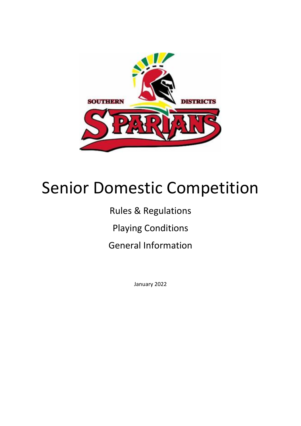

# Senior Domestic Competition

# Rules & Regulations

Playing Conditions

General Information

January 2022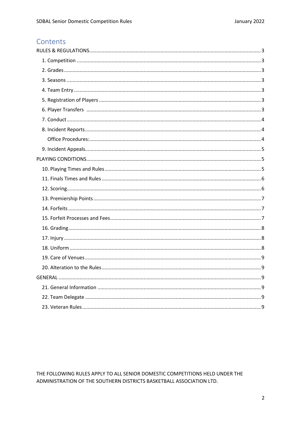# Contents

THE FOLLOWING RULES APPLY TO ALL SENIOR DOMESTIC COMPETITIONS HELD UNDER THE ADMINISTRATION OF THE SOUTHERN DISTRICTS BASKETBALL ASSOCIATION LTD.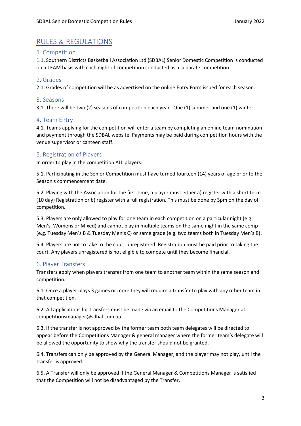# <span id="page-2-0"></span>RULES & REGULATIONS

# <span id="page-2-1"></span>1. Competition

1.1. Southern Districts Basketball Association Ltd (SDBAL) Senior Domestic Competition is conducted on a TEAM basis with each night of competition conducted as a separate competition.

# <span id="page-2-2"></span>2. Grades

2.1. Grades of competition will be as advertised on the online Entry Form issued for each season.

#### <span id="page-2-3"></span>3. Seasons

3.1. There will be two (2) seasons of competition each year. One (1) summer and one (1) winter.

# <span id="page-2-4"></span>4. Team Entry

4.1. Teams applying for the competition will enter a team by completing an online team nomination and payment through the SDBAL website. Payments may be paid during competition hours with the venue supervisor or canteen staff.

# <span id="page-2-5"></span>5. Registration of Players

In order to play in the competition ALL players:

5.1. Participating in the Senior Competition must have turned fourteen (14) years of age prior to the Season's commencement date.

5.2. Playing with the Association for the first time, a player must either a) register with a short term (10 day) Registration or b) register with a full registration. This must be done by 3pm on the day of competition.

5.3. Players are only allowed to play for one team in each competition on a particular night (e.g. Men's, Womens or Mixed) and cannot play in multiple teams on the same night in the same comp (e.g. Tuesday Men's B & Tuesday Men's C) or same grade (e.g. two teams both in Tuesday Men's B).

5.4. Players are not to take to the court unregistered. Registration must be paid prior to taking the court. Any players unregistered is not eligible to compete until they become financial.

# <span id="page-2-6"></span>6. Player Transfers

Transfers apply when players transfer from one team to another team within the same season and competition.

6.1. Once a player plays 3 games or more they will require a transfer to play with any other team in that competition.

6.2. All applications for transfers must be made via an email to the Competitions Manager at competitionsmanager@sdbal.com.au.

6.3. If the transfer is not approved by the former team both team delegates will be directed to appear before the Competitions Manager & general manager where the former team's delegate will be allowed the opportunity to show why the transfer should not be granted.

6.4. Transfers can only be approved by the General Manager, and the player may not play, until the transfer is approved.

6.5. A Transfer will only be approved if the General Manager & Competitions Manager is satisfied that the Competition will not be disadvantaged by the Transfer.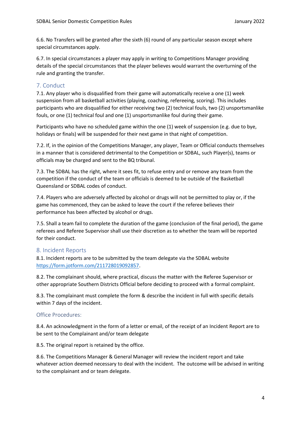6.6. No Transfers will be granted after the sixth (6) round of any particular season except where special circumstances apply.

6.7. In special circumstances a player may apply in writing to Competitions Manager providing details of the special circumstances that the player believes would warrant the overturning of the rule and granting the transfer.

# <span id="page-3-0"></span>7. Conduct

7.1. Any player who is disqualified from their game will automatically receive a one (1) week suspension from all basketball activities (playing, coaching, refereeing, scoring). This includes participants who are disqualified for either receiving two (2) technical fouls, two (2) unsportsmanlike fouls, or one (1) technical foul and one (1) unsportsmanlike foul during their game.

Participants who have no scheduled game within the one (1) week of suspension (e.g. due to bye, holidays or finals) will be suspended for their next game in that night of competition.

7.2. If, in the opinion of the Competitions Manager, any player, Team or Official conducts themselves in a manner that is considered detrimental to the Competition or SDBAL, such Player(s), teams or officials may be charged and sent to the BQ tribunal.

7.3. The SDBAL has the right, where it sees fit, to refuse entry and or remove any team from the competition if the conduct of the team or officials is deemed to be outside of the Basketball Queensland or SDBAL codes of conduct.

7.4. Players who are adversely affected by alcohol or drugs will not be permitted to play or, if the game has commenced, they can be asked to leave the court if the referee believes their performance has been affected by alcohol or drugs.

7.5. Shall a team fail to complete the duration of the game (conclusion of the final period), the game referees and Referee Supervisor shall use their discretion as to whether the team will be reported for their conduct.

# <span id="page-3-1"></span>8. Incident Reports

8.1. Incident reports are to be submitted by the team delegate via the SDBAL website [https://form.jotform.com/211728019092857.](https://form.jotform.com/211728019092857)

8.2. The complainant should, where practical, discuss the matter with the Referee Supervisor or other appropriate Southern Districts Official before deciding to proceed with a formal complaint.

8.3. The complainant must complete the form & describe the incident in full with specific details within 7 days of the incident.

# <span id="page-3-2"></span>Office Procedures:

8.4. An acknowledgment in the form of a letter or email, of the receipt of an Incident Report are to be sent to the Complainant and/or team delegate

8.5. The original report is retained by the office.

8.6. The Competitions Manager & General Manager will review the incident report and take whatever action deemed necessary to deal with the incident. The outcome will be advised in writing to the complainant and or team delegate.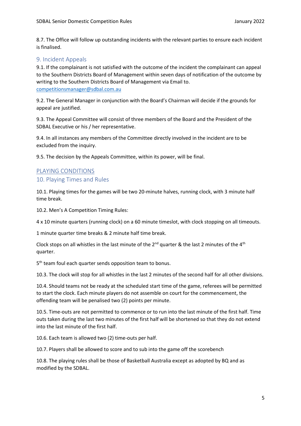8.7. The Office will follow up outstanding incidents with the relevant parties to ensure each incident is finalised.

# <span id="page-4-0"></span>9. Incident Appeals

9.1. If the complainant is not satisfied with the outcome of the incident the complainant can appeal to the Southern Districts Board of Management within seven days of notification of the outcome by writing to the Southern Districts Board of Management via Email to. [competitionsmanager@sdbal.com.au](mailto:competitionsmanager@sdbal.com.au)

9.2. The General Manager in conjunction with the Board's Chairman will decide if the grounds for appeal are justified.

9.3. The Appeal Committee will consist of three members of the Board and the President of the SDBAL Executive or his / her representative.

9.4. In all instances any members of the Committee directly involved in the incident are to be excluded from the inquiry.

9.5. The decision by the Appeals Committee, within its power, will be final.

# <span id="page-4-1"></span>PLAYING CONDITIONS

# <span id="page-4-2"></span>10. Playing Times and Rules

10.1. Playing times for the games will be two 20-minute halves, running clock, with 3 minute half time break.

10.2. Men's A Competition Timing Rules:

4 x 10 minute quarters (running clock) on a 60 minute timeslot, with clock stopping on all timeouts.

1 minute quarter time breaks & 2 minute half time break.

Clock stops on all whistles in the last minute of the  $2^{nd}$  quarter & the last 2 minutes of the  $4^{th}$ quarter.

5<sup>th</sup> team foul each quarter sends opposition team to bonus.

10.3. The clock will stop for all whistles in the last 2 minutes of the second half for all other divisions.

10.4. Should teams not be ready at the scheduled start time of the game, referees will be permitted to start the clock. Each minute players do not assemble on court for the commencement, the offending team will be penalised two (2) points per minute.

10.5. Time-outs are not permitted to commence or to run into the last minute of the first half. Time outs taken during the last two minutes of the first half will be shortened so that they do not extend into the last minute of the first half.

10.6. Each team is allowed two (2) time-outs per half.

10.7. Players shall be allowed to score and to sub into the game off the scorebench

10.8. The playing rules shall be those of Basketball Australia except as adopted by BQ and as modified by the SDBAL.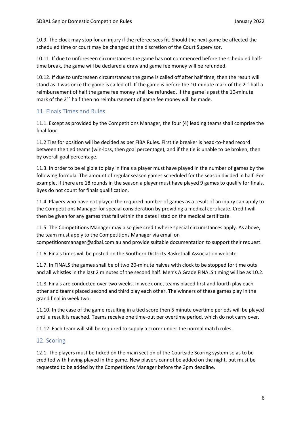10.9. The clock may stop for an injury if the referee sees fit. Should the next game be affected the scheduled time or court may be changed at the discretion of the Court Supervisor.

10.11. If due to unforeseen circumstances the game has not commenced before the scheduled halftime break, the game will be declared a draw and game fee money will be refunded.

10.12. If due to unforeseen circumstances the game is called off after half time, then the result will stand as it was once the game is called off. If the game is before the 10-minute mark of the 2<sup>nd</sup> half a reimbursement of half the game fee money shall be refunded. If the game is past the 10-minute mark of the 2<sup>nd</sup> half then no reimbursement of game fee money will be made.

# <span id="page-5-0"></span>11. Finals Times and Rules

11.1. Except as provided by the Competitions Manager, the four (4) leading teams shall comprise the final four.

11.2 Ties for position will be decided as per FIBA Rules. First tie breaker is head-to-head record between the tied teams (win-loss, then goal percentage), and if the tie is unable to be broken, then by overall goal percentage.

11.3. In order to be eligible to play in finals a player must have played in the number of games by the following formula. The amount of regular season games scheduled for the season divided in half. For example, if there are 18 rounds in the season a player must have played 9 games to qualify for finals. Byes do not count for finals qualification.

11.4. Players who have not played the required number of games as a result of an injury can apply to the Competitions Manager for special consideration by providing a medical certificate. Credit will then be given for any games that fall within the dates listed on the medical certificate.

11.5. The Competitions Manager may also give credit where special circumstances apply. As above, the team must apply to the Competitions Manager via email on competitionsmanager@sdbal.com.au and provide suitable documentation to support their request.

11.6. Finals times will be posted on the Southern Districts Basketball Association website.

11.7. In FINALS the games shall be of two 20-minute halves with clock to be stopped for time outs and all whistles in the last 2 minutes of the second half. Men's A Grade FINALS timing will be as 10.2.

11.8. Finals are conducted over two weeks. In week one, teams placed first and fourth play each other and teams placed second and third play each other. The winners of these games play in the grand final in week two.

11.10. In the case of the game resulting in a tied score then 5 minute overtime periods will be played until a result is reached. Teams receive one time-out per overtime period, which do not carry over.

11.12. Each team will still be required to supply a scorer under the normal match rules.

## <span id="page-5-1"></span>12. Scoring

12.1. The players must be ticked on the main section of the Courtside Scoring system so as to be credited with having played in the game. New players cannot be added on the night, but must be requested to be added by the Competitions Manager before the 3pm deadline.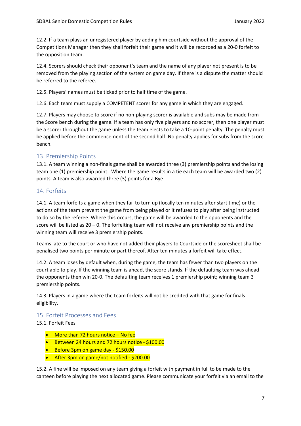12.2. If a team plays an unregistered player by adding him courtside without the approval of the Competitions Manager then they shall forfeit their game and it will be recorded as a 20-0 forfeit to the opposition team.

12.4. Scorers should check their opponent's team and the name of any player not present is to be removed from the playing section of the system on game day. If there is a dispute the matter should be referred to the referee.

12.5. Players' names must be ticked prior to half time of the game.

12.6. Each team must supply a COMPETENT scorer for any game in which they are engaged.

12.7. Players may choose to score if no non-playing scorer is available and subs may be made from the Score bench during the game. If a team has only five players and no scorer, then one player must be a scorer throughout the game unless the team elects to take a 10-point penalty. The penalty must be applied before the commencement of the second half. No penalty applies for subs from the score bench.

# <span id="page-6-0"></span>13. Premiership Points

13.1. A team winning a non-finals game shall be awarded three (3) premiership points and the losing team one (1) premiership point. Where the game results in a tie each team will be awarded two (2) points. A team is also awarded three (3) points for a Bye.

# <span id="page-6-1"></span>14. Forfeits

14.1. A team forfeits a game when they fail to turn up (locally ten minutes after start time) or the actions of the team prevent the game from being played or it refuses to play after being instructed to do so by the referee. Where this occurs, the game will be awarded to the opponents and the score will be listed as 20 – 0. The forfeiting team will not receive any premiership points and the winning team will receive 3 premiership points.

Teams late to the court or who have not added their players to Courtside or the scoresheet shall be penalised two points per minute or part thereof. After ten minutes a forfeit will take effect.

14.2. A team loses by default when, during the game, the team has fewer than two players on the court able to play. If the winning team is ahead, the score stands. If the defaulting team was ahead the opponents then win 20-0. The defaulting team receives 1 premiership point; winning team 3 premiership points.

14.3. Players in a game where the team forfeits will not be credited with that game for finals eligibility.

## <span id="page-6-2"></span>15. Forfeit Processes and Fees

15.1. Forfeit Fees

- More than 72 hours notice  $-$  No fee
- **•** Between 24 hours and 72 hours notice \$100.00
- **•** Before 3pm on game day \$150.00
- After 3pm on game/not notified \$200.00

15.2. A fine will be imposed on any team giving a forfeit with payment in full to be made to the canteen before playing the next allocated game. Please communicate your forfeit via an email to the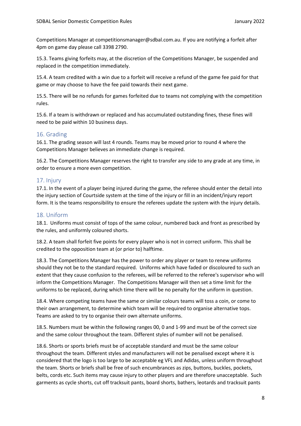Competitions Manager at competitionsmanager@sdbal.com.au. If you are notifying a forfeit after 4pm on game day please call 3398 2790.

15.3. Teams giving forfeits may, at the discretion of the Competitions Manager, be suspended and replaced in the competition immediately.

15.4. A team credited with a win due to a forfeit will receive a refund of the game fee paid for that game or may choose to have the fee paid towards their next game.

15.5. There will be no refunds for games forfeited due to teams not complying with the competition rules.

15.6. If a team is withdrawn or replaced and has accumulated outstanding fines, these fines will need to be paid within 10 business days.

# <span id="page-7-0"></span>16. Grading

16.1. The grading season will last 4 rounds. Teams may be moved prior to round 4 where the Competitions Manager believes an immediate change is required.

16.2. The Competitions Manager reserves the right to transfer any side to any grade at any time, in order to ensure a more even competition.

# <span id="page-7-1"></span>17. Injury

17.1. In the event of a player being injured during the game, the referee should enter the detail into the injury section of Courtside system at the time of the injury or fill in an incident/injury report form. It is the teams responsibility to ensure the referees update the system with the injury details.

## <span id="page-7-2"></span>18. Uniform

18.1. Uniforms must consist of tops of the same colour, numbered back and front as prescribed by the rules, and uniformly coloured shorts.

18.2. A team shall forfeit five points for every player who is not in correct uniform. This shall be credited to the opposition team at (or prior to) halftime.

18.3. The Competitions Manager has the power to order any player or team to renew uniforms should they not be to the standard required. Uniforms which have faded or discoloured to such an extent that they cause confusion to the referees, will be referred to the referee's supervisor who will inform the Competitions Manager. The Competitions Manager will then set a time limit for the uniforms to be replaced, during which time there will be no penalty for the uniform in question.

18.4. Where competing teams have the same or similar colours teams will toss a coin, or come to their own arrangement, to determine which team will be required to organise alternative tops. Teams are asked to try to organise their own alternate uniforms.

18.5. Numbers must be within the following ranges 00, 0 and 1-99 and must be of the correct size and the same colour throughout the team. Different styles of number will not be penalised.

18.6. Shorts or sports briefs must be of acceptable standard and must be the same colour throughout the team. Different styles and manufacturers will not be penalised except where it is considered that the logo is too large to be acceptable eg VFL and Adidas, unless uniform throughout the team. Shorts or briefs shall be free of such encumbrances as zips, buttons, buckles, pockets, belts, cords etc. Such items may cause injury to other players and are therefore unacceptable. Such garments as cycle shorts, cut off tracksuit pants, board shorts, bathers, leotards and tracksuit pants